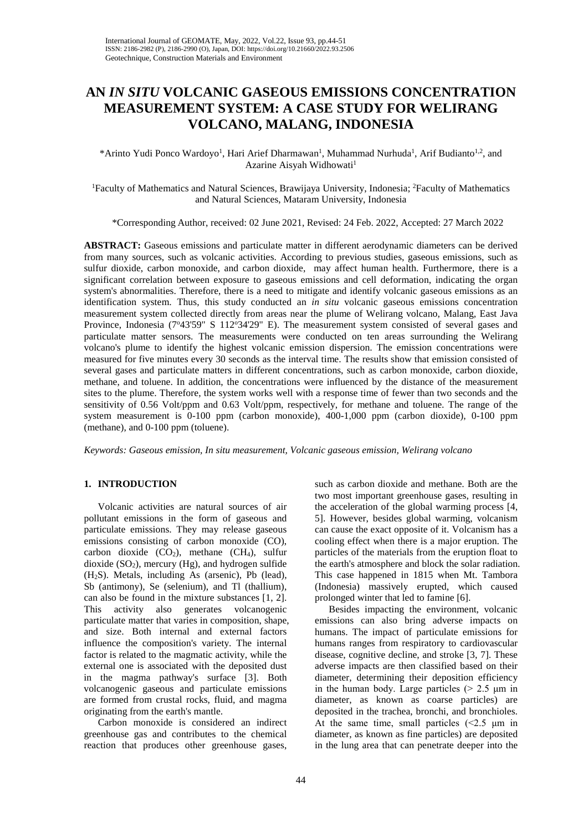# **AN** *IN SITU* **VOLCANIC GASEOUS EMISSIONS CONCENTRATION MEASUREMENT SYSTEM: A CASE STUDY FOR WELIRANG VOLCANO, MALANG, INDONESIA**

\*Arinto Yudi Ponco Wardoyo<sup>1</sup>, Hari Arief Dharmawan<sup>1</sup>, Muhammad Nurhuda<sup>1</sup>, Arif Budianto<sup>1,2</sup>, and Azarine Aisyah Widhowati<sup>1</sup>

<sup>1</sup> Faculty of Mathematics and Natural Sciences, Brawijaya University, Indonesia; <sup>2</sup> Faculty of Mathematics and Natural Sciences, Mataram University, Indonesia

\*Corresponding Author, received: 02 June 2021, Revised: 24 Feb. 2022, Accepted: 27 March 2022

**ABSTRACT:** Gaseous emissions and particulate matter in different aerodynamic diameters can be derived from many sources, such as volcanic activities. According to previous studies, gaseous emissions, such as sulfur dioxide, carbon monoxide, and carbon dioxide, may affect human health. Furthermore, there is a significant correlation between exposure to gaseous emissions and cell deformation, indicating the organ system's abnormalities. Therefore, there is a need to mitigate and identify volcanic gaseous emissions as an identification system. Thus, this study conducted an *in situ* volcanic gaseous emissions concentration measurement system collected directly from areas near the plume of Welirang volcano, Malang, East Java Province, Indonesia (7°43'59" S 112°34'29" E). The measurement system consisted of several gases and particulate matter sensors. The measurements were conducted on ten areas surrounding the Welirang volcano's plume to identify the highest volcanic emission dispersion. The emission concentrations were measured for five minutes every 30 seconds as the interval time. The results show that emission consisted of several gases and particulate matters in different concentrations, such as carbon monoxide, carbon dioxide, methane, and toluene. In addition, the concentrations were influenced by the distance of the measurement sites to the plume. Therefore, the system works well with a response time of fewer than two seconds and the sensitivity of 0.56 Volt/ppm and 0.63 Volt/ppm, respectively, for methane and toluene. The range of the system measurement is 0-100 ppm (carbon monoxide), 400-1,000 ppm (carbon dioxide), 0-100 ppm (methane), and 0-100 ppm (toluene).

*Keywords: Gaseous emission, In situ measurement, Volcanic gaseous emission, Welirang volcano*

# **1. INTRODUCTION**

Volcanic activities are natural sources of air pollutant emissions in the form of gaseous and particulate emissions. They may release gaseous emissions consisting of carbon monoxide (CO), carbon dioxide  $(CO_2)$ , methane  $(CH_4)$ , sulfur dioxide  $(SO<sub>2</sub>)$ , mercury  $(Hg)$ , and hydrogen sulfide (H2S). Metals, including As (arsenic), Pb (lead), Sb (antimony), Se (selenium), and Tl (thallium), can also be found in the mixture substances [1, 2]. This activity also generates volcanogenic particulate matter that varies in composition, shape, and size. Both internal and external factors influence the composition's variety. The internal factor is related to the magmatic activity, while the external one is associated with the deposited dust in the magma pathway's surface [3]. Both volcanogenic gaseous and particulate emissions are formed from crustal rocks, fluid, and magma originating from the earth's mantle.

Carbon monoxide is considered an indirect greenhouse gas and contributes to the chemical reaction that produces other greenhouse gases,

such as carbon dioxide and methane. Both are the two most important greenhouse gases, resulting in the acceleration of the global warming process [4, 5]. However, besides global warming, volcanism can cause the exact opposite of it. Volcanism has a cooling effect when there is a major eruption. The particles of the materials from the eruption float to the earth's atmosphere and block the solar radiation. This case happened in 1815 when Mt. Tambora (Indonesia) massively erupted, which caused prolonged winter that led to famine [6].

Besides impacting the environment, volcanic emissions can also bring adverse impacts on humans. The impact of particulate emissions for humans ranges from respiratory to cardiovascular disease, cognitive decline, and stroke [3, 7]. These adverse impacts are then classified based on their diameter, determining their deposition efficiency in the human body. Large particles  $(> 2.5 \mu m)$  in diameter, as known as coarse particles) are deposited in the trachea, bronchi, and bronchioles. At the same time, small particles  $\langle 2.5 \text{ }\mu\text{m} \rangle$  in diameter, as known as fine particles) are deposited in the lung area that can penetrate deeper into the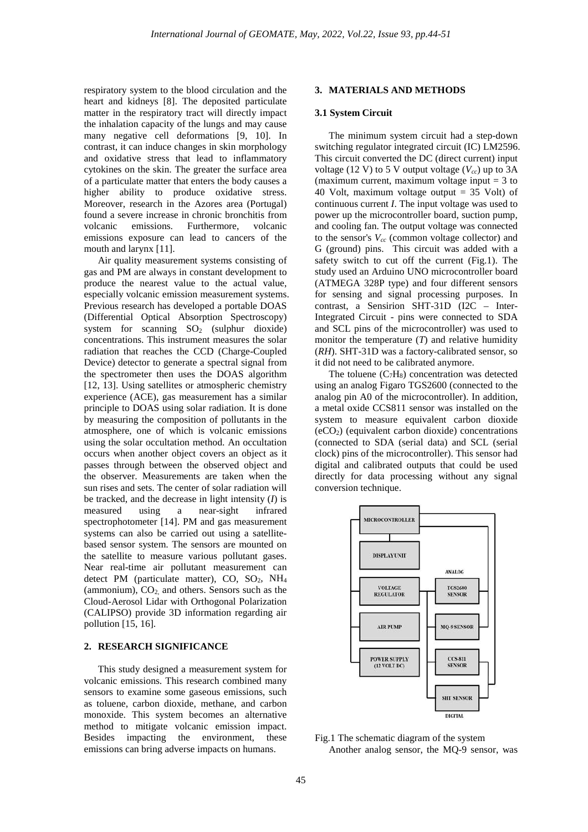respiratory system to the blood circulation and the heart and kidneys [8]. The deposited particulate matter in the respiratory tract will directly impact the inhalation capacity of the lungs and may cause many negative cell deformations [9, 10]. In contrast, it can induce changes in skin morphology and oxidative stress that lead to inflammatory cytokines on the skin. The greater the surface area of a particulate matter that enters the body causes a higher ability to produce oxidative stress. Moreover, research in the Azores area (Portugal) found a severe increase in chronic bronchitis from volcanic emissions. Furthermore, volcanic emissions exposure can lead to cancers of the mouth and larynx [11].

Air quality measurement systems consisting of gas and PM are always in constant development to produce the nearest value to the actual value, especially volcanic emission measurement systems. Previous research has developed a portable DOAS (Differential Optical Absorption Spectroscopy) system for scanning  $SO<sub>2</sub>$  (sulphur dioxide) concentrations. This instrument measures the solar radiation that reaches the CCD (Charge-Coupled Device) detector to generate a spectral signal from the spectrometer then uses the DOAS algorithm [12, 13]. Using satellites or atmospheric chemistry experience (ACE), gas measurement has a similar principle to DOAS using solar radiation. It is done by measuring the composition of pollutants in the atmosphere, one of which is volcanic emissions using the solar occultation method. An occultation occurs when another object covers an object as it passes through between the observed object and the observer. Measurements are taken when the sun rises and sets. The center of solar radiation will be tracked, and the decrease in light intensity (*I*) is measured using a near-sight infrared spectrophotometer [14]. PM and gas measurement systems can also be carried out using a satellitebased sensor system. The sensors are mounted on the satellite to measure various pollutant gases. Near real-time air pollutant measurement can detect PM (particulate matter), CO,  $SO<sub>2</sub>$ , NH<sub>4</sub> (ammonium),  $CO<sub>2</sub>$  and others. Sensors such as the Cloud-Aerosol Lidar with Orthogonal Polarization (CALIPSO) provide 3D information regarding air pollution [15, 16].

# **2. RESEARCH SIGNIFICANCE**

This study designed a measurement system for volcanic emissions. This research combined many sensors to examine some gaseous emissions, such as toluene, carbon dioxide, methane, and carbon monoxide. This system becomes an alternative method to mitigate volcanic emission impact. Besides impacting the environment, these emissions can bring adverse impacts on humans.

## **3. MATERIALS AND METHODS**

### **3.1 System Circuit**

The minimum system circuit had a step-down switching regulator integrated circuit (IC) LM2596. This circuit converted the DC (direct current) input voltage (12 V) to 5 V output voltage  $(V_{cc})$  up to 3A (maximum current, maximum voltage input  $=$  3 to 40 Volt, maximum voltage output = 35 Volt) of continuous current *I*. The input voltage was used to power up the microcontroller board, suction pump, and cooling fan. The output voltage was connected to the sensor's  $V_{cc}$  (common voltage collector) and G (ground) pins. This circuit was added with a safety switch to cut off the current (Fig.1). The study used an Arduino UNO microcontroller board (ATMEGA 328P type) and four different sensors for sensing and signal processing purposes. In contrast, a Sensirion SHT-31D (I2C – Inter-Integrated Circuit - pins were connected to SDA and SCL pins of the microcontroller) was used to monitor the temperature (*T*) and relative humidity (*RH*). SHT-31D was a factory-calibrated sensor, so it did not need to be calibrated anymore.

The toluene  $(C_7H_8)$  concentration was detected using an analog Figaro TGS2600 (connected to the analog pin A0 of the microcontroller). In addition, a metal oxide CCS811 sensor was installed on the system to measure equivalent carbon dioxide (eCO2) (equivalent carbon dioxide) concentrations (connected to SDA (serial data) and SCL (serial clock) pins of the microcontroller). This sensor had digital and calibrated outputs that could be used directly for data processing without any signal conversion technique.



Fig.1 The schematic diagram of the system Another analog sensor, the MQ-9 sensor, was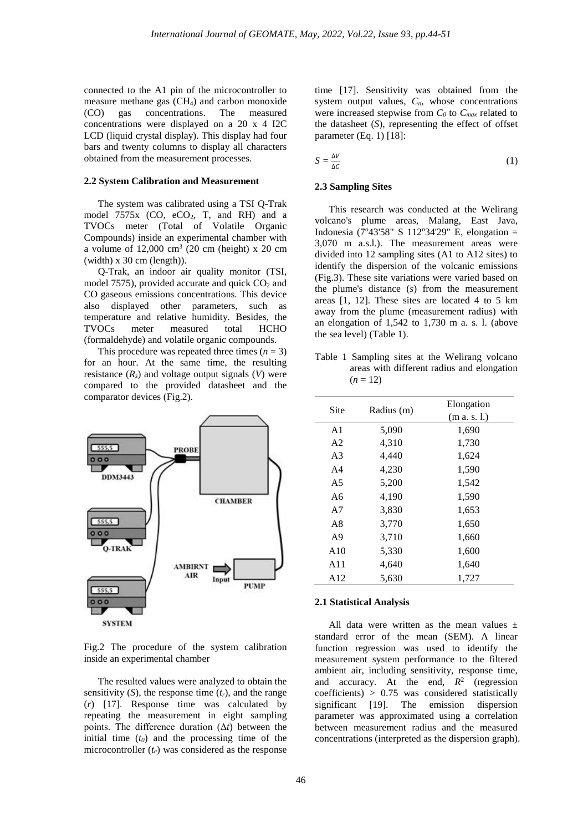connected to the A1 pin of the microcontroller to measure methane gas (CH4) and carbon monoxide (CO) gas concentrations. The measured concentrations were displayed on a 20 x 4 I2C LCD (liquid crystal display). This display had four bars and twenty columns to display all characters obtained from the measurement processes.

### **2.2 System Calibration and Measurement**

The system was calibrated using a TSI Q-Trak model  $7575x$  (CO, eCO<sub>2</sub>, T, and RH) and a TVOCs meter (Total of Volatile Organic Compounds) inside an experimental chamber with a volume of  $12,000 \text{ cm}^3$  (20 cm (height) x 20 cm (width) x 30 cm (length)).

Q-Trak, an indoor air quality monitor (TSI, model 7575), provided accurate and quick  $CO<sub>2</sub>$  and CO gaseous emissions concentrations. This device also displayed other parameters, such as temperature and relative humidity. Besides, the TVOCs meter measured total HCHO TVOCs meter measured total HCHO (formaldehyde) and volatile organic compounds.

This procedure was repeated three times  $(n = 3)$ for an hour. At the same time, the resulting resistance  $(R_s)$  and voltage output signals  $(V)$  were compared to the provided datasheet and the comparator devices (Fig.2).



Fig.2 The procedure of the system calibration inside an experimental chamber

The resulted values were analyzed to obtain the sensitivity  $(S)$ , the response time  $(t_r)$ , and the range (*r*) [17]. Response time was calculated by repeating the measurement in eight sampling points. The difference duration (Δ*t*) between the initial time  $(t_0)$  and the processing time of the microcontroller (*te*) was considered as the response time [17]. Sensitivity was obtained from the system output values,  $C_n$ , whose concentrations were increased stepwise from  $C_0$  to  $C_{max}$  related to the datasheet (*S*), representing the effect of offset parameter (Eq. 1) [18]:

$$
S = \frac{\Delta V}{\Delta C} \tag{1}
$$

#### **2.3 Sampling Sites**

This research was conducted at the Welirang volcano's plume areas, Malang, East Java, Indonesia (7°43'58" S 112°34'29" E, elongation = 3,070 m a.s.l.). The measurement areas were divided into 12 sampling sites (A1 to A12 sites) to identify the dispersion of the volcanic emissions (Fig.3). These site variations were varied based on the plume's distance (*s*) from the measurement areas [1, 12]. These sites are located 4 to 5 km away from the plume (measurement radius) with an elongation of 1,542 to 1,730 m a. s. l. (above the sea level) (Table 1).

Table 1 Sampling sites at the Welirang volcano areas with different radius and elongation  $(n = 12)$ 

| Site           | Radius (m) | Elongation<br>(m a. s. l.) |
|----------------|------------|----------------------------|
| A <sub>1</sub> | 5,090      | 1,690                      |
| A <sub>2</sub> | 4,310      | 1,730                      |
| A <sub>3</sub> | 4,440      | 1,624                      |
| A <sub>4</sub> | 4,230      | 1,590                      |
| A5             | 5,200      | 1,542                      |
| A6             | 4,190      | 1,590                      |
| A7             | 3,830      | 1,653                      |
| A8             | 3,770      | 1,650                      |
| A <sup>9</sup> | 3,710      | 1,660                      |
| A10            | 5,330      | 1,600                      |
| A11            | 4,640      | 1,640                      |
| A12            | 5,630      | 1,727                      |

### **2.1 Statistical Analysis**

All data were written as the mean values  $\pm$ standard error of the mean (SEM). A linear function regression was used to identify the measurement system performance to the filtered ambient air, including sensitivity, response time, and accuracy. At the end,  $R^2$  (regression coefficients) > 0.75 was considered statistically significant [19]. The emission dispersion parameter was approximated using a correlation between measurement radius and the measured concentrations (interpreted as the dispersion graph).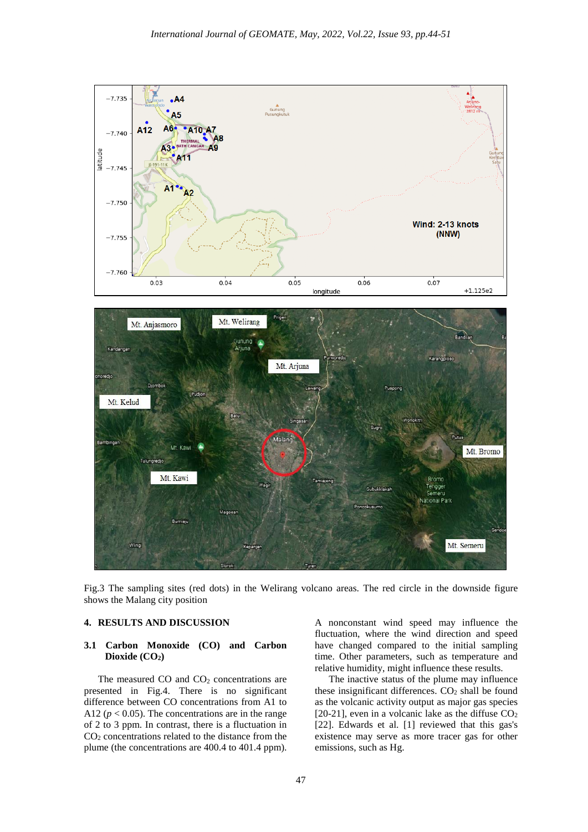

Fig.3 The sampling sites (red dots) in the Welirang volcano areas. The red circle in the downside figure shows the Malang city position

# **4. RESULTS AND DISCUSSION**

## **3.1 Carbon Monoxide (CO) and Carbon**  Dioxide (CO<sub>2</sub>)

The measured CO and CO<sub>2</sub> concentrations are presented in Fig.4. There is no significant difference between CO concentrations from A1 to A12 ( $p < 0.05$ ). The concentrations are in the range of 2 to 3 ppm. In contrast, there is a fluctuation in CO2 concentrations related to the distance from the plume (the concentrations are 400.4 to 401.4 ppm).

A nonconstant wind speed may influence the fluctuation, where the wind direction and speed have changed compared to the initial sampling time. Other parameters, such as temperature and relative humidity, might influence these results.

The inactive status of the plume may influence these insignificant differences.  $CO<sub>2</sub>$  shall be found as the volcanic activity output as major gas species [20-21], even in a volcanic lake as the diffuse  $CO<sub>2</sub>$ [22]. Edwards et al. [1] reviewed that this gas's existence may serve as more tracer gas for other emissions, such as Hg.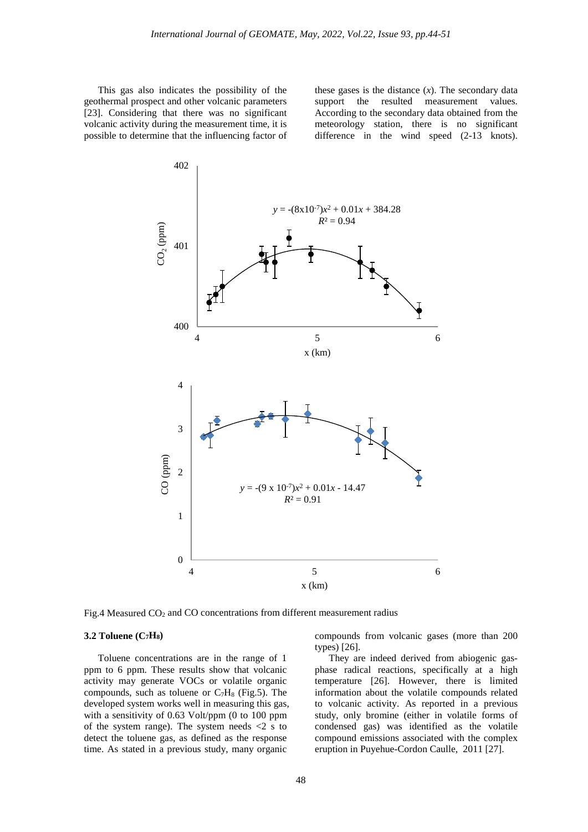This gas also indicates the possibility of the geothermal prospect and other volcanic parameters [23]. Considering that there was no significant volcanic activity during the measurement time, it is possible to determine that the influencing factor of

these gases is the distance  $(x)$ . The secondary data support the resulted measurement values. According to the secondary data obtained from the meteorology station, there is no significant difference in the wind speed (2-13 knots).



Fig.4 Measured  $CO<sub>2</sub>$  and  $CO$  concentrations from different measurement radius

### **3.2 Toluene (C7H8)**

Toluene concentrations are in the range of 1 ppm to 6 ppm. These results show that volcanic activity may generate VOCs or volatile organic compounds, such as toluene or  $C_7H_8$  (Fig.5). The developed system works well in measuring this gas, with a sensitivity of 0.63 Volt/ppm (0 to 100 ppm of the system range). The system needs  $\langle 2 \rangle$  s to detect the toluene gas, as defined as the response time. As stated in a previous study, many organic

compounds from volcanic gases (more than 200 types) [26].

They are indeed derived from abiogenic gasphase radical reactions, specifically at a high temperature [26]. However, there is limited information about the volatile compounds related to volcanic activity. As reported in a previous study, only bromine (either in volatile forms of condensed gas) was identified as the volatile compound emissions associated with the complex eruption in Puyehue-Cordon Caulle, 2011 [27].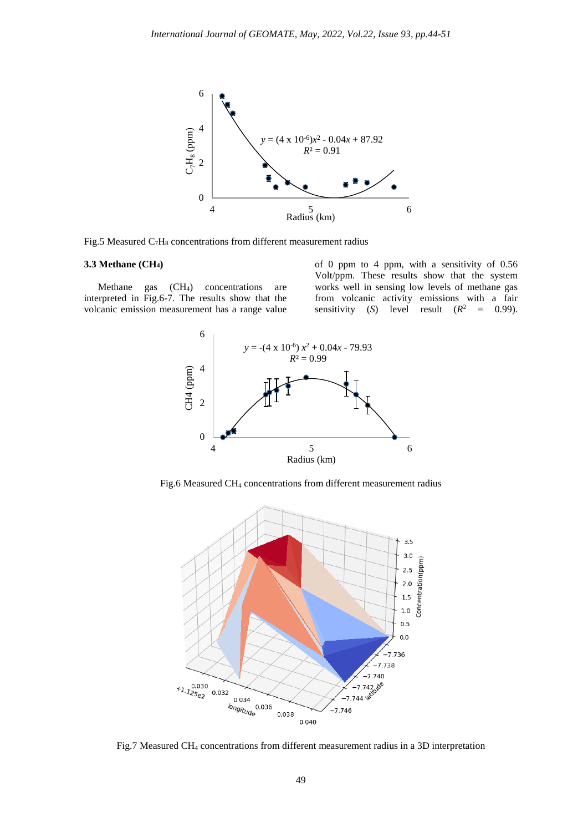

Fig.5 Measured  $C_7H_8$  concentrations from different measurement radius

# **3.3 Methane (CH4)**

Methane gas (CH<sub>4</sub>) concentrations are interpreted in Fig.6-7. The results show that the volcanic emission measurement has a range value of 0 ppm to 4 ppm, with a sensitivity of 0.56 Volt/ppm. These results show that the system works well in sensing low levels of methane gas from volcanic activity emissions with a fair sensitivity (*S*) level result  $(R^2 = 0.99)$ .



Fig.6 Measured CH4 concentrations from different measurement radius



Fig.7 Measured CH4 concentrations from different measurement radius in a 3D interpretation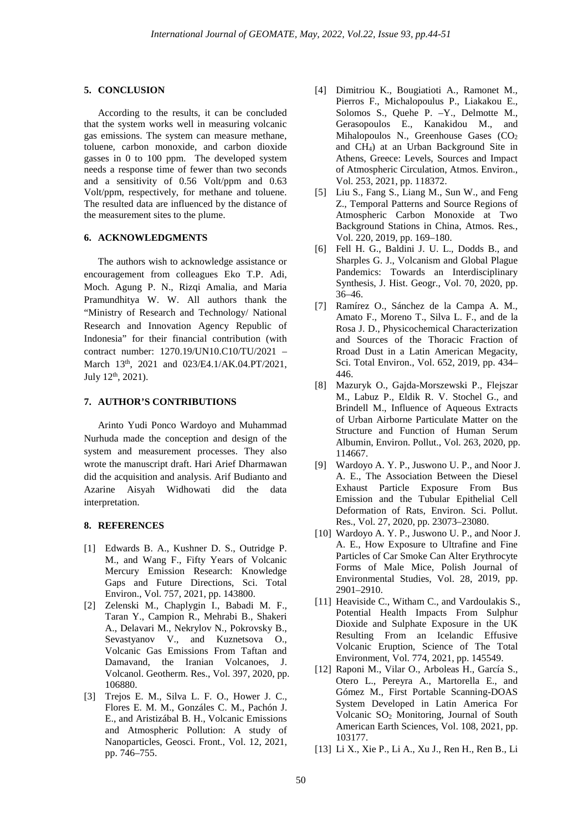### **5. CONCLUSION**

According to the results, it can be concluded that the system works well in measuring volcanic gas emissions. The system can measure methane, toluene, carbon monoxide, and carbon dioxide gasses in 0 to 100 ppm. The developed system needs a response time of fewer than two seconds and a sensitivity of 0.56 Volt/ppm and 0.63 Volt/ppm, respectively, for methane and toluene. The resulted data are influenced by the distance of the measurement sites to the plume.

### **6. ACKNOWLEDGMENTS**

The authors wish to acknowledge assistance or encouragement from colleagues Eko T.P. Adi, Moch. Agung P. N., Rizqi Amalia, and Maria Pramundhitya W. W. All authors thank the "Ministry of Research and Technology/ National Research and Innovation Agency Republic of Indonesia" for their financial contribution (with contract number: 1270.19/UN10.C10/TU/2021 – March 13<sup>th</sup>, 2021 and 023/E4.1/AK.04.PT/2021, July 12<sup>th</sup>, 2021).

### **7. AUTHOR'S CONTRIBUTIONS**

Arinto Yudi Ponco Wardoyo and Muhammad Nurhuda made the conception and design of the system and measurement processes. They also wrote the manuscript draft. Hari Arief Dharmawan did the acquisition and analysis. Arif Budianto and Azarine Aisyah Widhowati did the data interpretation.

# **8. REFERENCES**

- [1] Edwards B. A., Kushner D. S., Outridge P. M., and Wang F., Fifty Years of Volcanic Mercury Emission Research: Knowledge Gaps and Future Directions, Sci. Total Environ., Vol. 757, 2021, pp. 143800.
- [2] Zelenski M., Chaplygin I., Babadi M. F., Taran Y., Campion R., Mehrabi B., Shakeri A., Delavari M., Nekrylov N., Pokrovsky B., Sevastyanov V., and Kuznetsova O., Volcanic Gas Emissions From Taftan and Damavand, the Iranian Volcanoes, J. Volcanol. Geotherm. Res., Vol. 397, 2020, pp. 106880.
- [3] Trejos E. M., Silva L. F. O., Hower J. C., Flores E. M. M., Gonzáles C. M., Pachón J. E., and Aristizábal B. H., Volcanic Emissions and Atmospheric Pollution: A study of Nanoparticles, Geosci. Front., Vol. 12, 2021, pp. 746–755.
- [4] Dimitriou K., Bougiatioti A., Ramonet M., Pierros F., Michalopoulus P., Liakakou E., Solomos S., Quehe P. –Y., Delmotte M., Gerasopoulos E., Kanakidou M., and Mihalopoulos N., Greenhouse Gases (CO<sub>2</sub>) and CH4) at an Urban Background Site in Athens, Greece: Levels, Sources and Impact of Atmospheric Circulation, Atmos. Environ., Vol. 253, 2021, pp. 118372.
- [5] Liu S., Fang S., Liang M., Sun W., and Feng Z., Temporal Patterns and Source Regions of Atmospheric Carbon Monoxide at Two Background Stations in China, Atmos. Res*.*, Vol. 220, 2019, pp. 169–180.
- [6] Fell H. G., Baldini J. U. L., Dodds B., and Sharples G. J., Volcanism and Global Plague Pandemics: Towards an Interdisciplinary Synthesis, J. Hist. Geogr., Vol. 70, 2020, pp. 36–46.
- [7] Ramírez O., Sánchez de la Campa A. M., Amato F., Moreno T., Silva L. F., and de la Rosa J. D., Physicochemical Characterization and Sources of the Thoracic Fraction of Rroad Dust in a Latin American Megacity, Sci. Total Environ., Vol. 652, 2019, pp. 434– 446.
- [8] Mazuryk O., Gajda-Morszewski P., Flejszar M., Labuz P., Eldik R. V. Stochel G., and Brindell M., Influence of Aqueous Extracts of Urban Airborne Particulate Matter on the Structure and Function of Human Serum Albumin, Environ. Pollut., Vol. 263, 2020, pp. 114667.
- [9] Wardoyo A. Y. P., Juswono U. P., and Noor J. A. E., The Association Between the Diesel Exhaust Particle Exposure From Bus Emission and the Tubular Epithelial Cell Deformation of Rats, Environ. Sci. Pollut. Res., Vol. 27, 2020, pp. 23073–23080.
- [10] Wardoyo A. Y. P., Juswono U. P., and Noor J. A. E., How Exposure to Ultrafine and Fine Particles of Car Smoke Can Alter Erythrocyte Forms of Male Mice, Polish Journal of Environmental Studies, Vol. 28, 2019, pp. 2901–2910.
- [11] Heaviside C., Witham C., and Vardoulakis S., Potential Health Impacts From Sulphur Dioxide and Sulphate Exposure in the UK Resulting From an Icelandic Effusive Volcanic Eruption, Science of The Total Environment, Vol. 774, 2021, pp. 145549.
- [12] Raponi M., Vilar O., Arboleas H., García S., Otero L., Pereyra A., Martorella E., and Gómez M., First Portable Scanning-DOAS System Developed in Latin America For Volcanic SO2 Monitoring, Journal of South American Earth Sciences, Vol. 108, 2021, pp. 103177.
- [13] Li X., Xie P., Li A., Xu J., Ren H., Ren B., Li